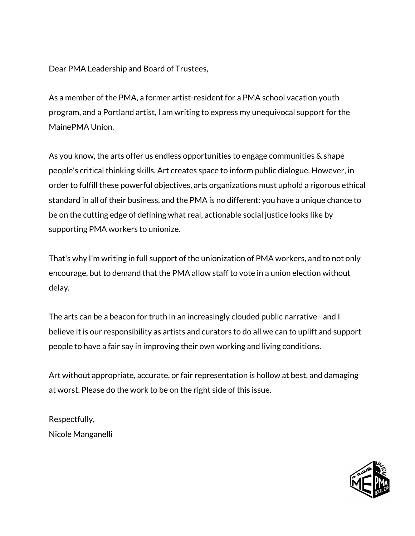As a member of the PMA, a former artist-resident for a PMA school vacation youth program, and a Portland artist, I am writing to express my unequivocal support for the MainePMA Union.

As you know, the arts offer us endless opportunities to engage communities & shape people's critical thinking skills. Art creates space to inform public dialogue. However, in order to fulfill these powerful objectives, arts organizations must uphold a rigorous ethical standard in all of their business, and the PMA is no different: you have a unique chance to be on the cutting edge of defining what real, actionable social justice looks like by supporting PMA workers to unionize.

That's why I'm writing in full support of the unionization of PMA workers, and to not only encourage, but to demand that the PMA allow staff to vote in a union election without delay.

The arts can be a beacon for truth in an increasingly clouded public narrative--and I believe it is our responsibility as artists and curators to do all we can to uplift and support people to have a fair say in improving their own working and living conditions.

Art without appropriate, accurate, or fair representation is hollow at best, and damaging at worst. Please do the work to be on the right side of this issue.

Respectfully, Nicole Manganelli

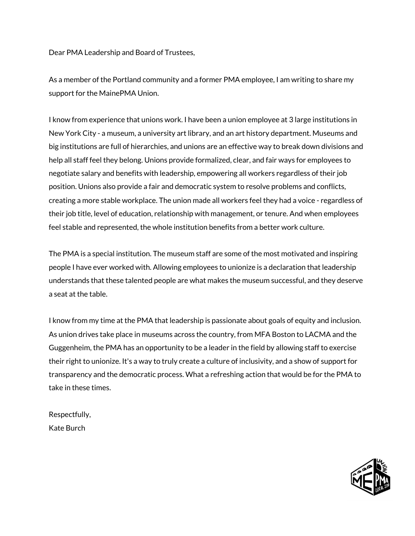As a member of the Portland community and a former PMA employee, I am writing to share my support for the MainePMA Union.

I know from experience that unions work. I have been a union employee at 3 large institutions in New York City - a museum, a university art library, and an art history department. Museums and big institutions are full of hierarchies, and unions are an effective way to break down divisions and help all staff feel they belong. Unions provide formalized, clear, and fair ways for employees to negotiate salary and benefits with leadership, empowering all workers regardless of their job position. Unions also provide a fair and democratic system to resolve problems and conflicts, creating a more stable workplace. The union made all workers feel they had a voice - regardless of their job title, level of education, relationship with management, or tenure. And when employees feel stable and represented, the whole institution benefits from a better work culture.

The PMA is a special institution. The museum staff are some of the most motivated and inspiring people I have ever worked with. Allowing employees to unionize is a declaration that leadership understands that these talented people are what makes the museum successful, and they deserve a seat at the table.

I know from my time at the PMA that leadership is passionate about goals of equity and inclusion. As union drives take place in museums across the country, from MFA Boston to LACMA and the Guggenheim, the PMA has an opportunity to be a leader in the field by allowing staff to exercise their right to unionize. It's a way to truly create a culture of inclusivity, and a show of support for transparency and the democratic process. What a refreshing action that would be for the PMA to take in these times.

Respectfully, Kate Burch

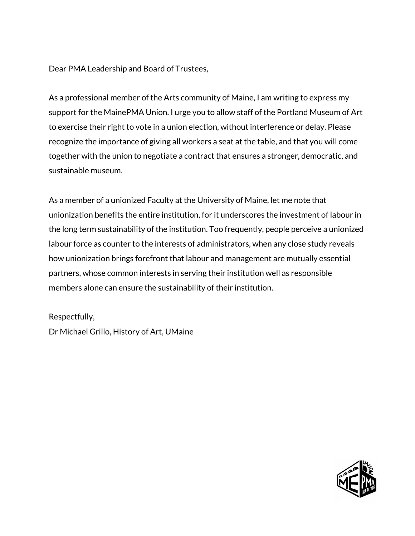As a professional member of the Arts community of Maine, I am writing to express my support for the MainePMA Union. I urge you to allow staff of the Portland Museum of Art to exercise their right to vote in a union election, without interference or delay. Please recognize the importance of giving all workers a seat at the table, and that you will come together with the union to negotiate a contract that ensures a stronger, democratic, and sustainable museum.

As a member of a unionized Faculty at the University of Maine, let me note that unionization benefits the entire institution, for it underscores the investment of labour in the long term sustainability of the institution. Too frequently, people perceive a unionized labour force as counter to the interests of administrators, when any close study reveals how unionization brings forefront that labour and management are mutually essential partners, whose common interests in serving their institution well as responsible members alone can ensure the sustainability of their institution.

## Respectfully,

Dr Michael Grillo, History of Art, UMaine

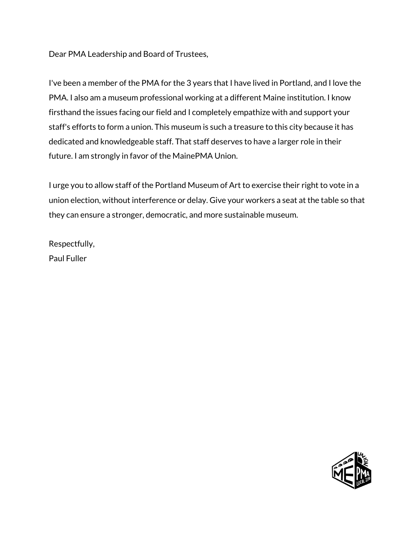I've been a member of the PMA for the 3 years that I have lived in Portland, and I love the PMA. I also am a museum professional working at a different Maine institution. I know firsthand the issues facing our field and I completely empathize with and support your staff's efforts to form a union. This museum is such a treasure to this city because it has dedicated and knowledgeable staff. That staff deserves to have a larger role in their future. I am strongly in favor of the MainePMA Union.

I urge you to allow staff of the Portland Museum of Art to exercise their right to vote in a union election, without interference or delay. Give your workers a seat at the table so that they can ensure a stronger, democratic, and more sustainable museum.

Respectfully, Paul Fuller

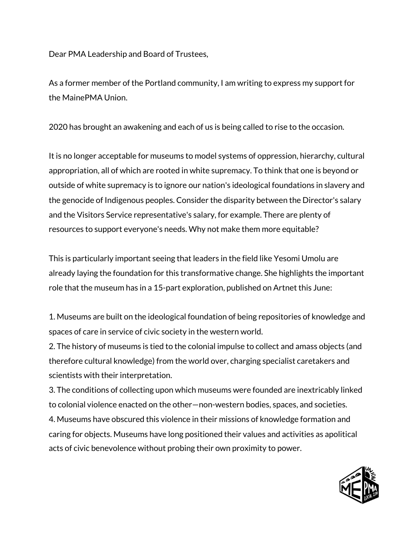As a former member of the Portland community, I am writing to express my support for the MainePMA Union.

2020 has brought an awakening and each of us is being called to rise to the occasion.

It is no longer acceptable for museums to model systems of oppression, hierarchy, cultural appropriation, all of which are rooted in white supremacy. To think that one is beyond or outside of white supremacy is to ignore our nation's ideological foundations in slavery and the genocide of Indigenous peoples. Consider the disparity between the Director's salary and the Visitors Service representative's salary, for example. There are plenty of resources to support everyone's needs. Why not make them more equitable?

This is particularly important seeing that leaders in the field like Yesomi Umolu are already laying the foundation for this transformative change. She highlights the important role that the museum has in a 15-part exploration, published on Artnet this June:

1. Museums are built on the ideological foundation of being repositories of knowledge and spaces of care in service of civic society in the western world.

2. The history of museums is tied to the colonial impulse to collect and amass objects (and therefore cultural knowledge) from the world over, charging specialist caretakers and scientists with their interpretation.

3. The conditions of collecting upon which museums were founded are inextricably linked to colonial violence enacted on the other—non-western bodies, spaces, and societies. 4. Museums have obscured this violence in their missions of knowledge formation and caring for objects. Museums have long positioned their values and activities as apolitical acts of civic benevolence without probing their own proximity to power.

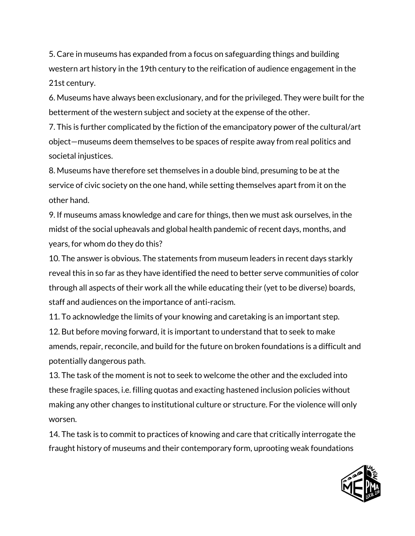5. Care in museums has expanded from a focus on safeguarding things and building western art history in the 19th century to the reification of audience engagement in the 21st century.

6. Museums have always been exclusionary, and for the privileged. They were built for the betterment of the western subject and society at the expense of the other.

7. This is further complicated by the fiction of the emancipatory power of the cultural/art object—museums deem themselves to be spaces of respite away from real politics and societal injustices.

8. Museums have therefore set themselves in a double bind, presuming to be at the service of civic society on the one hand, while setting themselves apart from it on the other hand.

9. If museums amass knowledge and care for things, then we must ask ourselves, in the midst of the social upheavals and global health pandemic of recent days, months, and years, for whom do they do this?

10. The answer is obvious. The statements from museum leaders in recent days starkly reveal this in so far as they have identified the need to better serve communities of color through all aspects of their work all the while educating their (yet to be diverse) boards, staff and audiences on the importance of anti-racism.

11. To acknowledge the limits of your knowing and caretaking is an important step.

12. But before moving forward, it is important to understand that to seek to make amends, repair, reconcile, and build for the future on broken foundations is a difficult and potentially dangerous path.

13. The task of the moment is not to seek to welcome the other and the excluded into these fragile spaces, i.e. filling quotas and exacting hastened inclusion policies without making any other changes to institutional culture or structure. For the violence will only worsen.

14. The task is to commit to practices of knowing and care that critically interrogate the fraught history of museums and their contemporary form, uprooting weak foundations